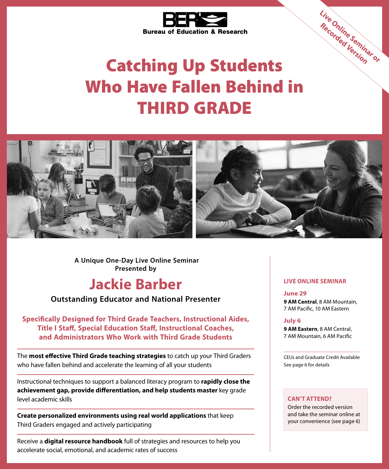

# Catching Up Students Who Have Fallen Behind in THIRD GRADE



**Presented by A Unique One-Day Live Online Seminar**

# **Jackie Barber**

## **Outstanding Educator and National Presenter**

**Specifically Designed for Third Grade Teachers, Instructional Aides, Title I Staff, Special Education Staff, Instructional Coaches, and Administrators Who Work with Third Grade Students**

The **most effective Third Grade teaching strategies** to catch up your Third Graders who have fallen behind and accelerate the learning of all your students

Instructional techniques to support a balanced literacy program to **rapidly close the achievement gap, provide differentiation, and help students master** key grade level academic skills

**Create personalized environments using real world applications** that keep Third Graders engaged and actively participating

Receive a **digital resource handbook** full of strategies and resources to help you accelerate social, emotional, and academic rates of success

### **LIVE ONLINE SEMINAR**

**June 29 9 AM Central**, 8 AM Mountain, 7 AM Pacific, 10 AM Eastern

**Live Online Seminar or Recorded Version**

#### **July 6**

**9 AM Eastern**, 8 AM Central, 7 AM Mountain, 6 AM Pacific

CEUs and Graduate Credit Available See page 6 for details

### **CAN'T ATTEND?**

Order the recorded version and take the seminar online at your convenience (see page 6)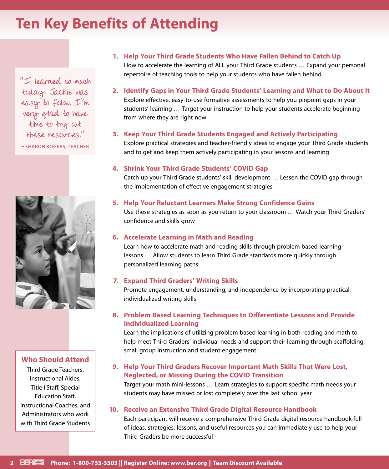# **Ten Key Benefits of Attending**

"I learned so much today. Jackie was easy to follow. I'm very glad to have time to try out these resources."

**– SHARON ROGERS, TEACHER**



### **Who Should Attend**

Third Grade Teachers, Instructional Aides, Title I Staff, Special Education Staff, Instructional Coaches, and Administrators who work with Third Grade Students

# **1. Help Your Third Grade Students Who Have Fallen Behind to Catch Up**

How to accelerate the learning of ALL your Third Grade students … Expand your personal repertoire of teaching tools to help your students who have fallen behind

**2. Identify Gaps in Your Third Grade Students' Learning and What to Do About It** Explore effective, easy-to-use formative assessments to help you pinpoint gaps in your students' learning … Target your instruction to help your students accelerate beginning from where they are right now

### **3. Keep Your Third Grade Students Engaged and Actively Participating**

Explore practical strategies and teacher-friendly ideas to engage your Third Grade students and to get and keep them actively participating in your lessons and learning

#### **4. Shrink Your Third Grade Students' COVID Gap**

Catch up your Third Grade students' skill development … Lessen the COVID gap through the implementation of effective engagement strategies

#### **5. Help Your Reluctant Learners Make Strong Confidence Gains**

Use these strategies as soon as you return to your classroom … Watch your Third Graders' confidence and skills grow

### **6. Accelerate Learning in Math and Reading**

Learn how to accelerate math and reading skills through problem based learning lessons … Allow students to learn Third Grade standards more quickly through personalized learning paths

#### **7. Expand Third Graders' Writing Skills**

Promote engagement, understanding, and independence by incorporating practical, individualized writing skills

### **8. Problem Based Learning Techniques to Differentiate Lessons and Provide Individualized Learning**

Learn the implications of utilizing problem based learning in both reading and math to help meet Third Graders' individual needs and support their learning through scaffolding, small group instruction and student engagement

### **9. Help Your Third Graders Recover Important Math Skills That Were Lost, Neglected, or Missing During the COVID Transition**

Target your math mini-lessons … Learn strategies to support specific math needs your students may have missed or lost completely over the last school year

### **10. Receive an Extensive Third Grade Digital Resource Handbook**

Each participant will receive a comprehensive Third Grade digital resource handbook full of ideas, strategies, lessons, and useful resources you can immediately use to help your Third Graders be more successful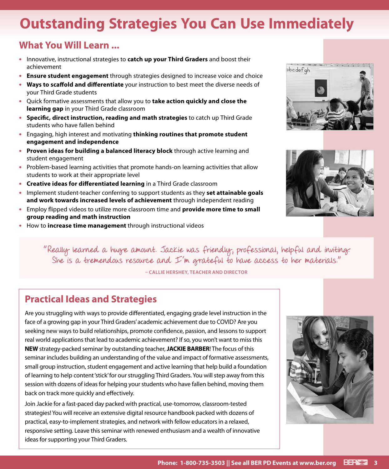# **Outstanding Strategies You Can Use Immediately**

# **What You Will Learn ...**

- **•** Innovative, instructional strategies to **catch up your Third Graders** and boost their achievement
- **• Ensure student engagement** through strategies designed to increase voice and choice
- **• Ways to scaffold and differentiate** your instruction to best meet the diverse needs of your Third Grade students
- **•** Quick formative assessments that allow you to **take action quickly and close the learning gap** in your Third Grade classroom
- **• Specific, direct instruction, reading and math strategies** to catch up Third Grade students who have fallen behind
- **•** Engaging, high interest and motivating **thinking routines that promote student engagement and independence**
- **• Proven ideas for building a balanced literacy block** through active learning and student engagement
- **•** Problem-based learning activities that promote hands-on learning activities that allow students to work at their appropriate level
- **• Creative ideas for differentiated learning** in a Third Grade classroom
- **•** Implement student-teacher conferring to support students as they **set attainable goals and work towards increased levels of achievement** through independent reading
- **•** Employ flipped videos to utilize more classroom time and **provide more time to small group reading and math instruction**
- **•** How to **increase time management** through instructional videos





"Really learned a huge amount. Jackie was friendly, professional, helpful and inviting. She is a tremendous resource and I'm grateful to have access to her materials."

**– CALLIE HERSHEY, TEACHER AND DIRECTOR**

# **Practical Ideas and Strategies**

Are you struggling with ways to provide differentiated, engaging grade level instruction in the face of a growing gap in your Third Graders' academic achievement due to COVID? Are you seeking new ways to build relationships, promote confidence, passion, and lessons to support real world applications that lead to academic achievement? If so, you won't want to miss this **NEW** strategy-packed seminar by outstanding teacher, **JACKIE BARBER**! The focus of this seminar includes building an understanding of the value and impact of formative assessments, small group instruction, student engagement and active learning that help build a foundation of learning to help content 'stick' for our struggling Third Graders. You will step away from this session with dozens of ideas for helping your students who have fallen behind, moving them back on track more quickly and effectively.

Join Jackie for a fast-paced day packed with practical, use-tomorrow, classroom-tested strategies! You will receive an extensive digital resource handbook packed with dozens of practical, easy-to-implement strategies, and network with fellow educators in a relaxed, responsive setting. Leave this seminar with renewed enthusiasm and a wealth of innovative ideas for supporting your Third Graders.

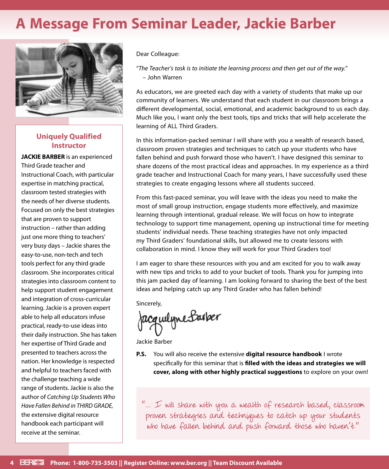# **A Message From Seminar Leader, Jackie Barber**



## **Uniquely Qualified Instructor**

**JACKIE BARBER** is an experienced Third Grade teacher and Instructional Coach, with particular expertise in matching practical, classroom tested strategies with the needs of her diverse students. Focused on only the best strategies that are proven to support instruction – rather than adding just one more thing to teachers' very busy days – Jackie shares the easy-to-use, non-tech and tech tools perfect for any third grade classroom. She incorporates critical strategies into classroom content to help support student engagement and integration of cross-curricular learning. Jackie is a proven expert able to help all educators infuse practical, ready-to-use ideas into their daily instruction. She has taken her expertise of Third Grade and presented to teachers across the nation. Her knowledge is respected and helpful to teachers faced with the challenge teaching a wide range of students. Jackie is also the author of *Catching Up Students Who Have Fallen Behind in THIRD GRADE,* the extensive digital resource handbook each participant will receive at the seminar.

#### Dear Colleague:

"*The Teacher's task is to initiate the learning process and then get out of the way.*" – John Warren

As educators, we are greeted each day with a variety of students that make up our community of learners. We understand that each student in our classroom brings a different developmental, social, emotional, and academic background to us each day. Much like you, I want only the best tools, tips and tricks that will help accelerate the learning of ALL Third Graders.

In this information-packed seminar I will share with you a wealth of research based, classroom proven strategies and techniques to catch up your students who have fallen behind and push forward those who haven't. I have designed this seminar to share dozens of the most practical ideas and approaches. In my experience as a third grade teacher and Instructional Coach for many years, I have successfully used these strategies to create engaging lessons where all students succeed.

From this fast-paced seminar, you will leave with the ideas you need to make the most of small group instruction, engage students more effectively, and maximize learning through intentional, gradual release. We will focus on how to integrate technology to support time management, opening up instructional time for meeting students' individual needs. These teaching strategies have not only impacted my Third Graders' foundational skills, but allowed me to create lessons with collaboration in mind. I know they will work for your Third Graders too!

I am eager to share these resources with you and am excited for you to walk away with new tips and tricks to add to your bucket of tools. Thank you for jumping into this jam packed day of learning. I am looking forward to sharing the best of the best ideas and helping catch up any Third Grader who has fallen behind!

Sincerely,

Jacquelyne Barber

Jackie Barber

**P.S.** You will also receive the extensive **digital resource handbook** I wrote specifically for this seminar that is **filled with the ideas and strategies we will cover, along with other highly practical suggestions** to explore on your own!

 $\rlap{.}''...$   $\rlap{.}''$  will share with you a wealth of research based, classroom proven strategies and techniques to catch up your students who have fallen behind and push forward those who haven't."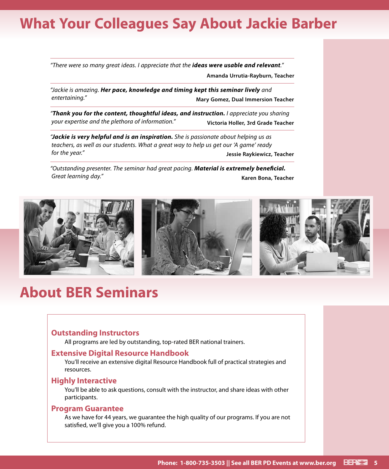# **What Your Colleagues Say About Jackie Barber**

*"There were so many great ideas. I appreciate that the ideas were usable and relevant."*

**Amanda Urrutia-Rayburn, Teacher**

*"Jackie is amazing. Her pace, knowledge and timing kept this seminar lively and entertaining."* **Mary Gomez, Dual Immersion Teacher**

*"Thank you for the content, thoughtful ideas, and instruction. I appreciate you sharing your expertise and the plethora of information."* **Victoria Holler, 3rd Grade Teacher**

*"Jackie is very helpful and is an inspiration. She is passionate about helping us as teachers, as well as our students. What a great way to help us get our 'A game' ready for the year."* **Jessie Raykiewicz, Teacher**

*"Outstanding presenter. The seminar had great pacing. Material is extremely beneficial. Great learning day."* **Karen Bona, Teacher**



# **About BER Seminars**

### **Outstanding Instructors**

All programs are led by outstanding, top-rated BER national trainers.

#### **Extensive Digital Resource Handbook**

You'll receive an extensive digital Resource Handbook full of practical strategies and resources.

#### **Highly Interactive**

You'll be able to ask questions, consult with the instructor, and share ideas with other participants.

### **Program Guarantee**

As we have for 44 years, we guarantee the high quality of our programs. If you are not satisfied, we'll give you a 100% refund.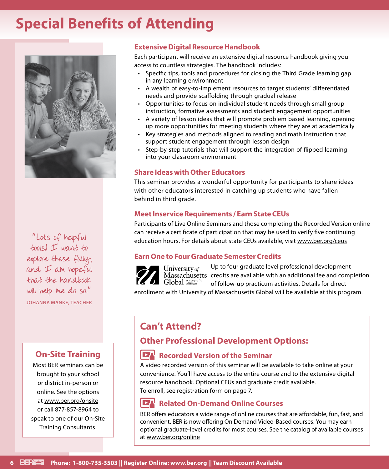# **Special Benefits of Attending**



"Lots of helpful tools! I want to explore these fully, and  $I$  am hope  $fu$ that the handbook will help me do so." **JOHANNA MANKE, TEACHER**

## **On-Site Training**

Most BER seminars can be brought to your school or district in-person or online. See the options at www.ber.org/onsite or call 877-857-8964 to speak to one of our On-Site Training Consultants.

## **Extensive Digital Resource Handbook**

Each participant will receive an extensive digital resource handbook giving you access to countless strategies. The handbook includes:

- Specific tips, tools and procedures for closing the Third Grade learning gap in any learning environment
- A wealth of easy-to-implement resources to target students' differentiated needs and provide scaffolding through gradual release
- Opportunities to focus on individual student needs through small group instruction, formative assessments and student engagement opportunities
- A variety of lesson ideas that will promote problem based learning, opening up more opportunities for meeting students where they are at academically
- Key strategies and methods aligned to reading and math instruction that support student engagement through lesson design
- Step-by-step tutorials that will support the integration of flipped learning into your classroom environment

## **Share Ideas with Other Educators**

This seminar provides a wonderful opportunity for participants to share ideas with other educators interested in catching up students who have fallen behind in third grade.

### **Meet Inservice Requirements / Earn State CEUs**

Participants of Live Online Seminars and those completing the Recorded Version online can receive a certificate of participation that may be used to verify five continuing education hours. For details about state CEUs available, visit www.ber.org/ceus

## **Earn One to Four Graduate Semester Credits**



Up to four graduate level professional development Massachusetts credits are available with an additional fee and completion of follow-up practicum activities. Details for direct

enrollment with University of Massachusetts Global will be available at this program.

# **Can't Attend?**

# **Other Professional Development Options:**

## **Recorded Version of the Seminar**

A video recorded version of this seminar will be available to take online at your convenience. You'll have access to the entire course and to the extensive digital resource handbook. Optional CEUs and graduate credit available. To enroll, see registration form on page 7.

#### $\overline{\phantom{a}}$ **Related On-Demand Online Courses**

BER offers educators a wide range of online courses that are affordable, fun, fast, and convenient. BER is now offering On Demand Video-Based courses. You may earn optional graduate-level credits for most courses. See the catalog of available courses at www.ber.org/online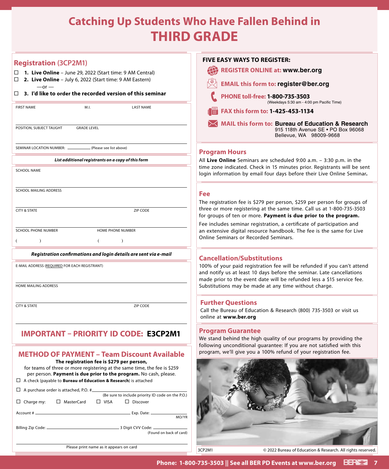# **Catching Up Students Who Have Fallen Behind in THIRD GRADE**

| <b>Registration (3CP2M1)</b><br>1. Live Online - June 29, 2022 (Start time: 9 AM Central)<br>□<br>2. Live Online - July 6, 2022 (Start time: 9 AM Eastern)<br>□<br>$-$ or $-$<br>3. I'd like to order the recorded version of this seminar<br>□<br>M.I.<br><b>FIRST NAME</b><br><b>LAST NAME</b>                                                                                                                                                                                                                                                              | <b>FIVE EASY WAYS TO REGISTER:</b><br><b>REGISTER ONLINE at: www.ber.org</b><br><b>EMAIL this form to: register@ber.org</b><br>PHONE toll-free: 1-800-735-3503<br>(Weekdays 5:30 am - 4:00 pm Pacifio                                                                     |
|---------------------------------------------------------------------------------------------------------------------------------------------------------------------------------------------------------------------------------------------------------------------------------------------------------------------------------------------------------------------------------------------------------------------------------------------------------------------------------------------------------------------------------------------------------------|---------------------------------------------------------------------------------------------------------------------------------------------------------------------------------------------------------------------------------------------------------------------------|
| POSITION, SUBJECT TAUGHT<br><b>GRADE LEVEL</b>                                                                                                                                                                                                                                                                                                                                                                                                                                                                                                                | FAX this form to: 1-425-453-1134<br>MAIL this form to: Bureau of Educatio<br>915 118th Avenue SE •<br>Bellevue, WA 98009-9                                                                                                                                                |
| SEMINAR LOCATION NUMBER: __<br>(Please see list above)                                                                                                                                                                                                                                                                                                                                                                                                                                                                                                        | <b>Program Hours</b>                                                                                                                                                                                                                                                      |
| List additional registrants on a copy of this form<br><b>SCHOOL NAME</b>                                                                                                                                                                                                                                                                                                                                                                                                                                                                                      | All Live Online Seminars are scheduled 9:00 a.m. - 3:3<br>time zone indicated. Check in 15 minutes prior. Registi<br>login information by email four days before their Live                                                                                               |
| SCHOOL MAILING ADDRESS<br><b>CITY &amp; STATE</b><br>ZIP CODE                                                                                                                                                                                                                                                                                                                                                                                                                                                                                                 | <b>Fee</b><br>The registration fee is \$279 per person, \$259 per perso<br>three or more registering at the same time. Call us at<br>for groups of ten or more. Payment is due prior to th                                                                                |
| <b>SCHOOL PHONE NUMBER</b><br><b>HOME PHONE NUMBER</b><br>$\left($<br>$\lambda$<br>$\lambda$<br>€                                                                                                                                                                                                                                                                                                                                                                                                                                                             | Fee includes seminar registration, a certificate of partion<br>an extensive digital resource handbook. The fee is the<br>Online Seminars or Recorded Seminars.                                                                                                            |
| Registration confirmations and login details are sent via e-mail<br>E-MAIL ADDRESS (REQUIRED FOR EACH REGISTRANT)<br>HOME MAILING ADDRESS                                                                                                                                                                                                                                                                                                                                                                                                                     | <b>Cancellation/Substitutions</b><br>100% of your paid registration fee will be refunded if<br>and notify us at least 10 days before the seminar. Late<br>made prior to the event date will be refunded less a \$<br>Substitutions may be made at any time without charge |
| <b>CITY &amp; STATE</b><br>ZIP CODE                                                                                                                                                                                                                                                                                                                                                                                                                                                                                                                           | <b>Further Questions</b><br>Call the Bureau of Education & Research (800) 735-350<br>online at www.ber.org                                                                                                                                                                |
| <b>IMPORTANT - PRIORITY ID CODE: E3CP2M1</b>                                                                                                                                                                                                                                                                                                                                                                                                                                                                                                                  | <b>Program Guarantee</b><br>We stand behind the high quality of our programs by<br>following unconditional guarantee: If you are not satis                                                                                                                                |
| <b>METHOD OF PAYMENT - Team Discount Available</b><br>The registration fee is \$279 per person,<br>for teams of three or more registering at the same time, the fee is \$259<br>per person. Payment is due prior to the program. No cash, please.<br>$\Box$ A check (payable to <b>Bureau of Education &amp; Research</b> ) is attached<br>$\Box$ A purchase order is attached, P.O. # $\Box$<br>(Be sure to include priority ID code on the P.O.)<br>$\Box$ Discover<br>$\Box$ Charge my:<br>□ MasterCard<br>$\Box$ VISA<br>MO/YR<br>(Found on back of card) | program, we'll give you a 100% refund of your registra                                                                                                                                                                                                                    |
| Please print name as it appears on card                                                                                                                                                                                                                                                                                                                                                                                                                                                                                                                       | 3CP2M1<br>© 2022 Bureau of Education & Rese                                                                                                                                                                                                                               |

# All **Live Online** Seminars are scheduled 9:00 a.m. – 3:30 p.m. in the time Check in 15 minutes prior. Registrants will be sent  $\mathbf y$  email four days before their Live Online Seminar. **MAIL this form to: Bureau of Education & Research** 915 118th Avenue SE • PO Box 96068 Bellevue, WA 98009‑9668

(Weekdays 5:30 am ‑ 4:00 pm Pacific Time)

is \$279 per person, \$259 per person for groups of tering at the same time. Call us at 1-800-735-3503 more. Payment is due prior to the program.

ar registration, a certificate of participation and resource handbook. The fee is the same for Live Recorded Seminars.

## **Cancellation/Substitutions**

egistration fee will be refunded if you can't attend st 10 days before the seminar. Late cancellations vent date will be refunded less a \$15 service fee. e made at any time without charge.

## **ons**

Education & Research (800) 735-3503 or visit us org.

## **ntee**

e high quality of our programs by providing the onal guarantee: If you are not satisfied with this you a 100% refund of your registration fee.



© 2022 Bureau of Education & Research. All rights reserved.